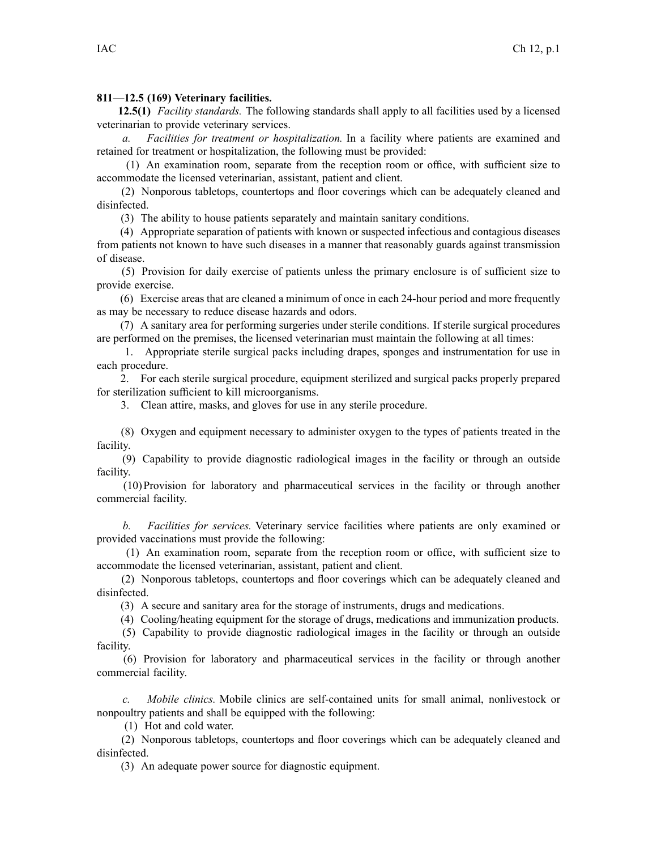## **811—12.5 (169) Veterinary facilities.**

**12.5(1)** *Facility standards.* The following standards shall apply to all facilities used by <sup>a</sup> licensed veterinarian to provide veterinary services.

*a. Facilities for treatment or hospitalization.* In <sup>a</sup> facility where patients are examined and retained for treatment or hospitalization, the following must be provided:

(1) An examination room, separate from the reception room or office, with sufficient size to accommodate the licensed veterinarian, assistant, patient and client.

(2) Nonporous tabletops, countertops and floor coverings which can be adequately cleaned and disinfected.

(3) The ability to house patients separately and maintain sanitary conditions.

(4) Appropriate separation of patients with known or suspected infectious and contagious diseases from patients not known to have such diseases in <sup>a</sup> manner that reasonably guards against transmission of disease.

(5) Provision for daily exercise of patients unless the primary enclosure is of sufficient size to provide exercise.

(6) Exercise areas that are cleaned <sup>a</sup> minimum of once in each 24-hour period and more frequently as may be necessary to reduce disease hazards and odors.

(7) A sanitary area for performing surgeries under sterile conditions. If sterile surgical procedures are performed on the premises, the licensed veterinarian must maintain the following at all times:

1. Appropriate sterile surgical packs including drapes, sponges and instrumentation for use in each procedure.

2. For each sterile surgical procedure, equipment sterilized and surgical packs properly prepared for sterilization sufficient to kill microorganisms.

3. Clean attire, masks, and gloves for use in any sterile procedure.

(8) Oxygen and equipment necessary to administer oxygen to the types of patients treated in the facility.

(9) Capability to provide diagnostic radiological images in the facility or through an outside facility.

(10)Provision for laboratory and pharmaceutical services in the facility or through another commercial facility.

*b. Facilities for services.* Veterinary service facilities where patients are only examined or provided vaccinations must provide the following:

(1) An examination room, separate from the reception room or office, with sufficient size to accommodate the licensed veterinarian, assistant, patient and client.

(2) Nonporous tabletops, countertops and floor coverings which can be adequately cleaned and disinfected.

(3) A secure and sanitary area for the storage of instruments, drugs and medications.

(4) Cooling/heating equipment for the storage of drugs, medications and immunization products.

(5) Capability to provide diagnostic radiological images in the facility or through an outside facility.

(6) Provision for laboratory and pharmaceutical services in the facility or through another commercial facility.

*c. Mobile clinics.* Mobile clinics are self-contained units for small animal, nonlivestock or nonpoultry patients and shall be equipped with the following:

(1) Hot and cold water.

(2) Nonporous tabletops, countertops and floor coverings which can be adequately cleaned and disinfected.

(3) An adequate power source for diagnostic equipment.